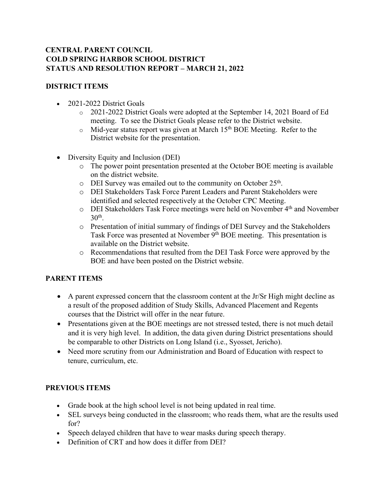## **CENTRAL PARENT COUNCIL COLD SPRING HARBOR SCHOOL DISTRICT STATUS AND RESOLUTION REPORT – MARCH 21, 2022**

## **DISTRICT ITEMS**

- 2021-2022 District Goals
	- o 2021-2022 District Goals were adopted at the September 14, 2021 Board of Ed meeting. To see the District Goals please refer to the District website.
	- $\circ$  Mid-year status report was given at March 15<sup>th</sup> BOE Meeting. Refer to the District website for the presentation.
- Diversity Equity and Inclusion (DEI)
	- o The power point presentation presented at the October BOE meeting is available on the district website.
	- o DEI Survey was emailed out to the community on October 25<sup>th</sup>.
	- o DEI Stakeholders Task Force Parent Leaders and Parent Stakeholders were identified and selected respectively at the October CPC Meeting.
	- o DEI Stakeholders Task Force meetings were held on November 4th and November  $30<sup>th</sup>$ .
	- o Presentation of initial summary of findings of DEI Survey and the Stakeholders Task Force was presented at November 9<sup>th</sup> BOE meeting. This presentation is available on the District website.
	- o Recommendations that resulted from the DEI Task Force were approved by the BOE and have been posted on the District website.

## **PARENT ITEMS**

- A parent expressed concern that the classroom content at the Jr/Sr High might decline as a result of the proposed addition of Study Skills, Advanced Placement and Regents courses that the District will offer in the near future.
- Presentations given at the BOE meetings are not stressed tested, there is not much detail and it is very high level. In addition, the data given during District presentations should be comparable to other Districts on Long Island (i.e., Syosset, Jericho).
- Need more scrutiny from our Administration and Board of Education with respect to tenure, curriculum, etc.

## **PREVIOUS ITEMS**

- Grade book at the high school level is not being updated in real time.
- SEL surveys being conducted in the classroom; who reads them, what are the results used for?
- Speech delayed children that have to wear masks during speech therapy.
- Definition of CRT and how does it differ from DEI?